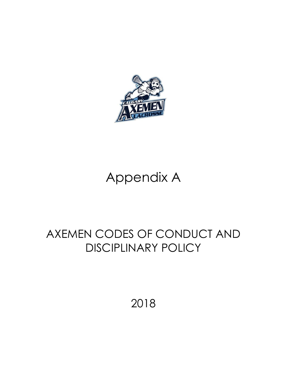

# Appendix A

## AXEMEN CODES OF CONDUCT AND DISCIPLINARY POLICY

2018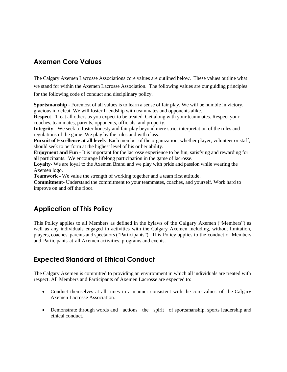## **Axemen Core Values**

The Calgary Axemen Lacrosse Associations core values are outlined below. These values outline what we stand for within the Axemen Lacrosse Association. The following values are our guiding principles for the following code of conduct and disciplinary policy.

**Sportsmanship** - Foremost of all values is to learn a sense of fair play. We will be humble in victory, gracious in defeat. We will foster friendship with teammates and opponents alike.

**Respect** - Treat all others as you expect to be treated. Get along with your teammates. Respect your coaches, teammates, parents, opponents, officials, and property.

**Integrity -** We seek to foster honesty and fair play beyond mere strict interpretation of the rules and regulations of the game. We play by the rules and with class.

**Pursuit of Excellence at all levels**- Each member of the organization, whether player, volunteer or staff, should seek to perform at the highest level of his or her ability.

**Enjoyment and Fun** - It is important for the lacrosse experience to be fun, satisfying and rewarding for all participants. We encourage lifelong participation in the game of lacrosse.

**Loyalty**- We are loyal to the Axemen Brand and we play with pride and passion while wearing the Axemen logo.

**Teamwork** - We value the strength of working together and a team first attitude.

**Commitment**- Understand the commitment to your teammates, coaches, and yourself. Work hard to improve on and off the floor.

## **Application of This Policy**

This Policy applies to all Members as defined in the bylaws of the Calgary Axemen ("Members") as well as any individuals engaged in activities with the Calgary Axemen including, without limitation, players, coaches, parents and spectators ("Participants"). This Policy applies to the conduct of Members and Participants at all Axemen activities, programs and events.

## **Expected Standard of Ethical Conduct**

The Calgary Axemen is committed to providing an environment in which all individuals are treated with respect. All Members and Participants of Axemen Lacrosse are expected to:

- Conduct themselves at all times in a manner consistent with the core values of the Calgary Axemen Lacrosse Association.
- Demonstrate through words and actions the spirit of sportsmanship, sports leadership and ethical conduct.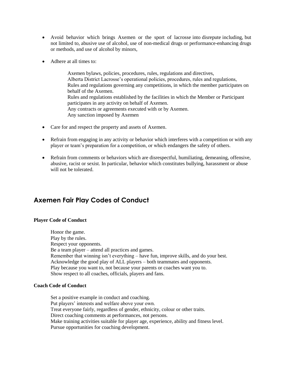- Avoid behavior which brings Axemen or the sport of lacrosse into disrepute including, but not limited to, abusive use of alcohol, use of non-medical drugs or performance-enhancing drugs or methods, and use of alcohol by minors,
- Adhere at all times to:

Axemen bylaws, policies, procedures, rules, regulations and directives, Alberta District Lacrosse's operational policies, procedures, rules and regulations, Rules and regulations governing any competitions, in which the member participates on behalf of the Axemen. Rules and regulations established by the facilities in which the Member or Participant participates in any activity on behalf of Axemen. Any contracts or agreements executed with or by Axemen. Any sanction imposed by Axemen

- Care for and respect the property and assets of Axemen.
- Refrain from engaging in any activity or behavior which interferes with a competition or with any player or team's preparation for a competition, or which endangers the safety of others.
- Refrain from comments or behaviors which are disrespectful, humiliating, demeaning, offensive, abusive, racist or sexist. In particular, behavior which constitutes bullying, harassment or abuse will not be tolerated.

## **Axemen Fair Play Codes of Conduct**

#### **Player Code of Conduct**

Honor the game. Play by the rules. Respect your opponents. Be a team player – attend all practices and games. Remember that winning isn't everything – have fun, improve skills, and do your best. Acknowledge the good play of ALL players – both teammates and opponents. Play because you want to, not because your parents or coaches want you to. Show respect to all coaches, officials, players and fans.

#### **Coach Code of Conduct**

Set a positive example in conduct and coaching. Put players' interests and welfare above your own. Treat everyone fairly, regardless of gender, ethnicity, colour or other traits. Direct coaching comments at performances, not persons. Make training activities suitable for player age, experience, ability and fitness level. Pursue opportunities for coaching development.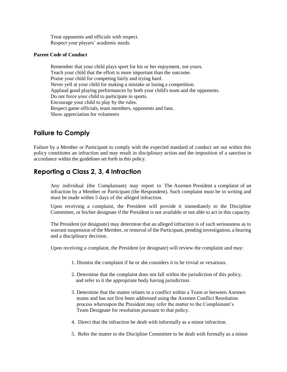Treat opponents and officials with respect. Respect your players' academic needs.

#### **Parent Code of Conduct**

Remember that your child plays sport for his or her enjoyment, not yours. Teach your child that the effort is more important than the outcome. Praise your child for competing fairly and trying hard. Never yell at your child for making a mistake or losing a competition. Applaud good playing performances by both your child's team and the opponents. Do not force your child to participate in sports. Encourage your child to play by the rules. Respect game officials, team members, opponents and fans. Show appreciation for volunteers

## **Failure to Comply**

Failure by a Member or Participant to comply with the expected standard of conduct set out within this policy constitutes an infraction and may result in disciplinary action and the imposition of a sanction in accordance within the guidelines set forth in this policy.

#### **Reporting a Class 2, 3, 4 Infraction**

Any individual (the Complainant) may report to The Axemen President a complaint of an infraction by a Member or Participant (the Respondent). Such complaint must be in writing and must be made within 5 days of the alleged infraction.

Upon receiving a complaint, the President will provide it immediately to the Discipline Committee, or his/her designate if the President is not available or not able to act in this capacity.

The President (or designate) may determine that an alleged infraction is of such seriousness as to warrant suspension of the Member, or removal of the Participant, pending investigation, a hearing and a disciplinary decision.

Upon receiving a complaint, the President (or designate) will review the complaint and may:

- 1. Dismiss the complaint if he or she considers it to be trivial or vexatious.
- 2. Determine that the complaint does not fall within the jurisdiction of this policy, and refer to it the appropriate body having jurisdiction.
- 3. Determine that the matter relates to a conflict within a Team or between Axemen teams and has not first been addressed using the Axemen Conflict Resolution process whereupon the President may refer the matter to the Complainant's Team Designate for resolution pursuant to that policy.
- 4. Direct that the infraction be dealt with informally as a minor infraction.
- 5. Refer the matter to the Discipline Committee to be dealt with formally as a minor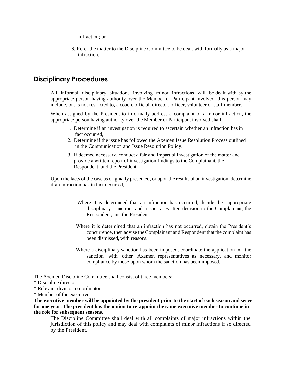infraction; or

6. Refer the matter to the Discipline Committee to be dealt with formally as a major infraction.

#### **Disciplinary Procedures**

All informal disciplinary situations involving minor infractions will be dealt with by the appropriate person having authority over the Member or Participant involved: this person may include, but is not restricted to, a coach, official, director, officer, volunteer or staff member.

When assigned by the President to informally address a complaint of a minor infraction, the appropriate person having authority over the Member or Participant involved shall:

- 1. Determine if an investigation is required to ascertain whether an infraction has in fact occurred,
- 2. Determine if the issue has followed the Axemen Issue Resolution Process outlined in the Communication and Issue Resolution Policy.
- 3. If deemed necessary, conduct a fair and impartial investigation of the matter and provide a written report of investigation findings to the Complainant, the Respondent, and the President

Upon the facts of the case as originally presented, or upon the results of an investigation, determine if an infraction has in fact occurred,

- Where it is determined that an infraction has occurred, decide the appropriate disciplinary sanction and issue a written decision to the Complainant, the Respondent, and the President
- Where it is determined that an infraction has not occurred, obtain the President's concurrence, then advise the Complainant and Respondent that the complaint has been dismissed, with reasons.
- Where a disciplinary sanction has been imposed, coordinate the application of the sanction with other Axemen representatives as necessary, and monitor compliance by those upon whom the sanction has been imposed.

The Axemen Discipline Committee shall consist of three members:

- \* Discipline director
- \* Relevant division co-ordinator

\* Member of the executive.

**The executive member will be appointed by the president prior to the start of each season and serve for one year. The president has the option to re-appoint the same executive member to continue in the role for subsequent seasons.**

The Discipline Committee shall deal with all complaints of major infractions within the jurisdiction of this policy and may deal with complaints of minor infractions if so directed by the President.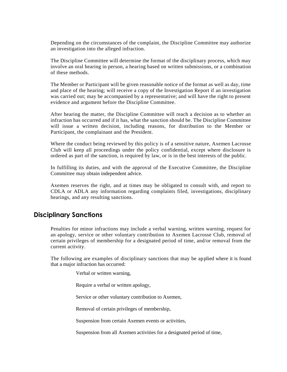Depending on the circumstances of the complaint, the Discipline Committee may authorize an investigation into the alleged infraction.

The Discipline Committee will determine the format of the disciplinary process, which may involve an oral hearing in person, a hearing based on written submissions, or a combination of these methods.

The Member or Participant will be given reasonable notice of the format as well as day, time and place of the hearing; will receive a copy of the Investigation Report if an investigation was carried out; may be accompanied by a representative; and will have the right to present evidence and argument before the Discipline Committee.

After hearing the matter, the Discipline Committee will reach a decision as to whether an infraction has occurred and if it has, what the sanction should be. The Discipline Committee will issue a written decision, including reasons, for distribution to the Member or Participant, the complainant and the President.

Where the conduct being reviewed by this policy is of a sensitive nature, Axemen Lacrosse Club will keep all proceedings under the policy confidential, except where disclosure is ordered as part of the sanction, is required by law, or is in the best interests of the public.

In fulfilling its duties, and with the approval of the Executive Committee, the Discipline Committee may obtain independent advice.

Axemen reserves the right, and at times may be obligated to consult with, and report to CDLA or ADLA any information regarding complaints filed, investigations, disciplinary hearings, and any resulting sanctions.

#### **Disciplinary Sanctions**

Penalties for minor infractions may include a verbal warning, written warning, request for an apology, service or other voluntary contribution to Axemen Lacrosse Club, removal of certain privileges of membership for a designated period of time, and/or removal from the current activity.

The following are examples of disciplinary sanctions that may be applied where it is found that a major infraction has occurred:

Verbal or written warning,

Require a verbal or written apology,

Service or other voluntary contribution to Axemen,

Removal of certain privileges of membership,

Suspension from certain Axemen events or activities,

Suspension from all Axemen activities for a designated period of time,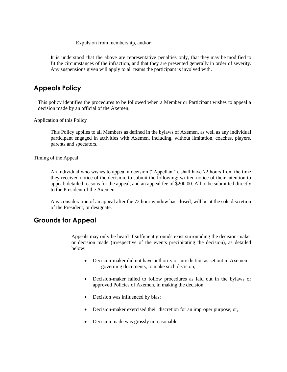#### Expulsion from membership, and/or

It is understood that the above are representative penalties only, that they may be modified to fit the circumstances of the infraction, and that they are presented generally in order of severity. Any suspensions given will apply to all teams the participant is involved with.

#### **Appeals Policy**

This policy identifies the procedures to be followed when a Member or Participant wishes to appeal a decision made by an official of the Axemen.

Application of this Policy

This Policy applies to all Members as defined in the bylaws of Axemen, as well as any individual participant engaged in activities with Axemen, including, without limitation, coaches, players, parents and spectators.

Timing of the Appeal

An individual who wishes to appeal a decision ("Appellant"), shall have 72 hours from the time they received notice of the decision, to submit the following: written notice of their intention to appeal; detailed reasons for the appeal, and an appeal fee of \$200.00. All to be submitted directly to the President of the Axemen.

Any consideration of an appeal after the 72 hour window has closed, will be at the sole discretion of the President, or designate.

#### **Grounds for Appeal**

Appeals may only be heard if sufficient grounds exist surrounding the decision-maker or decision made (irrespective of the events precipitating the decision), as detailed below:

- Decision-maker did not have authority or jurisdiction as set out in Axemen governing documents, to make such decision;
- Decision-maker failed to follow procedures as laid out in the bylaws or approved Policies of Axemen, in making the decision;
- Decision was influenced by bias;
- Decision-maker exercised their discretion for an improper purpose; or,
- Decision made was grossly unreasonable.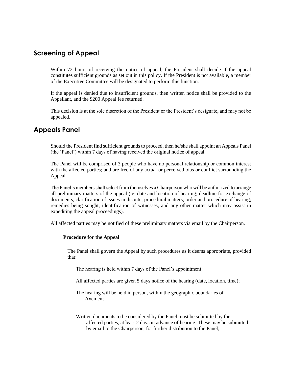#### **Screening of Appeal**

Within 72 hours of receiving the notice of appeal, the President shall decide if the appeal constitutes sufficient grounds as set out in this policy. If the President is not available, a member of the Executive Committee will be designated to perform this function.

If the appeal is denied due to insufficient grounds, then written notice shall be provided to the Appellant, and the \$200 Appeal fee returned.

This decision is at the sole discretion of the President or the President's designate, and may not be appealed.

#### **Appeals Panel**

Should the President find sufficient grounds to proceed, then he/she shall appoint an Appeals Panel (the 'Panel') within 7 days of having received the original notice of appeal.

The Panel will be comprised of 3 people who have no personal relationship or common interest with the affected parties; and are free of any actual or perceived bias or conflict surrounding the Appeal.

The Panel's members shall select from themselves a Chairperson who will be authorized to arrange all preliminary matters of the appeal (ie: date and location of hearing; deadline for exchange of documents, clarification of issues in dispute; procedural matters; order and procedure of hearing; remedies being sought, identification of witnesses, and any other matter which may assist in expediting the appeal proceedings).

All affected parties may be notified of these preliminary matters via email by the Chairperson.

#### **Procedure for the Appeal**

The Panel shall govern the Appeal by such procedures as it deems appropriate, provided that:

The hearing is held within 7 days of the Panel's appointment;

All affected parties are given 5 days notice of the hearing (date, location, time);

The hearing will be held in person, within the geographic boundaries of Axemen;

Written documents to be considered by the Panel must be submitted by the affected parties, at least 2 days in advance of hearing. These may be submitted by email to the Chairperson, for further distribution to the Panel;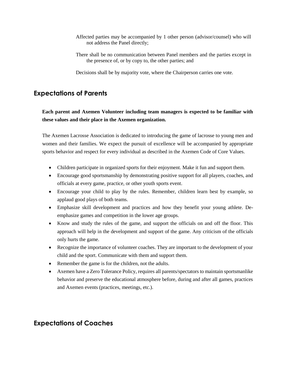- Affected parties may be accompanied by 1 other person (advisor/counsel) who will not address the Panel directly;
- There shall be no communication between Panel members and the parties except in the presence of, or by copy to, the other parties; and

Decisions shall be by majority vote, where the Chairperson carries one vote.

## **Expectations of Parents**

**Each parent and Axemen Volunteer including team managers is expected to be familiar with these values and their place in the Axemen organization.**

The Axemen Lacrosse Association is dedicated to introducing the game of lacrosse to young men and women and their families. We expect the pursuit of excellence will be accompanied by appropriate sports behavior and respect for every individual as described in the Axemen Code of Core Values.

- Children participate in organized sports for their enjoyment. Make it fun and support them.
- Encourage good sportsmanship by demonstrating positive support for all players, coaches, and officials at every game, practice, or other youth sports event.
- Encourage your child to play by the rules. Remember, children learn best by example, so applaud good plays of both teams.
- Emphasize skill development and practices and how they benefit your young athlete. Deemphasize games and competition in the lower age groups.
- Know and study the rules of the game, and support the officials on and off the floor. This approach will help in the development and support of the game. Any criticism of the officials only hurts the game.
- Recognize the importance of volunteer coaches. They are important to the development of your child and the sport. Communicate with them and support them.
- Remember the game is for the children, not the adults.
- Axemen have a Zero Tolerance Policy, requires all parents/spectators to maintain sportsmanlike behavior and preserve the educational atmosphere before, during and after all games, practices and Axemen events (practices, meetings, etc.).

#### **Expectations of Coaches**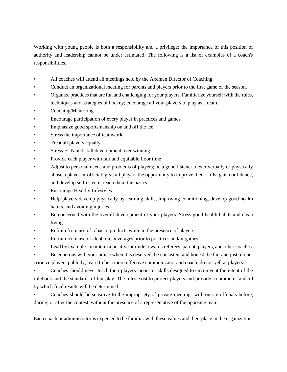Working with young people is both a responsibility and a privilege; the importance of this position of authority and leadership cannot be under estimated. The following is a list of examples of a coach's responsibilities.

- All coaches will attend all meetings held by the Axemen Director of Coaching.
- Conduct an organizational meeting for parents and players prior to the first game of the season.
- Organize practices that are fun and challenging for your players. Familiarize yourself with the rules, techniques and strategies of hockey; encourage all your players to play as a team.
- Coaching/Mentoring
- Encourage participation of every player in practices and games.
- Emphasize good sportsmanship on and off the ice.
- Stress the importance of teamwork
- Treat all players equally
- Stress FUN and skill development over winning
- Provide each player with fair and equitable floor time
- Adjust to personal needs and problems of players; be a good listener; never verbally or physically abuse a player or official; give all players the opportunity to improve their skills, gain confidence, and develop self-esteem; teach them the basics.
- Encourage Healthy Lifestyles
- Help players develop physically by learning skills, improving conditioning, develop good health habits, and avoiding injuries
- Be concerned with the overall development of your players. Stress good health habits and clean living.
- Refrain from use of tobacco products while in the presence of players.
- Refrain from use of alcoholic beverages prior to practices and/or games.
- Lead by example maintain a positive attitude towards referees, parent, players, and other coaches.

• Be generous with your praise when it is deserved; be consistent and honest; be fair and just; do not criticize players publicly; learn to be a more effective communicator and coach; do not yell at players.

• Coaches should never teach their players tactics or skills designed to circumvent the intent of the rulebook and the standards of fair play. The rules exist to protect players and provide a common standard by which final results will be determined.

• Coaches should be sensitive to the impropriety of private meetings with on-ice officials before, during, or after the contest, without the presence of a representative of the opposing team.

Each coach or administrator is expected to be familiar with these values and their place in the organization.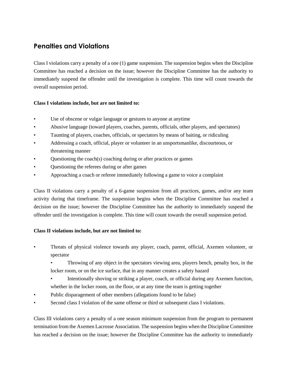## **Penalties and Violations**

Class I violations carry a penalty of a one (1) game suspension. The suspension begins when the Discipline Committee has reached a decision on the issue; however the Discipline Committee has the authority to immediately suspend the offender until the investigation is complete. This time will count towards the overall suspension period.

#### **Class I violations include, but are not limited to:**

- Use of obscene or vulgar language or gestures to anyone at anytime
- Abusive language (toward players, coaches, parents, officials, other players, and spectators)
- Taunting of players, coaches, officials, or spectators by means of baiting, or ridiculing
- Addressing a coach, official, player or volunteer in an unsportsmanlike, discourteous, or threatening manner
- Questioning the coach(s) coaching during or after practices or games
- Questioning the referees during or after games
- Approaching a coach or referee immediately following a game to voice a complaint

Class II violations carry a penalty of a 6-game suspension from all practices, games, and/or any team activity during that timeframe. The suspension begins when the Discipline Committee has reached a decision on the issue; however the Discipline Committee has the authority to immediately suspend the offender until the investigation is complete. This time will count towards the overall suspension period.

#### **Class II violations include, but are not limited to:**

• Threats of physical violence towards any player, coach, parent, official, Axemen volunteer, or spectator

• Throwing of any object in the spectators viewing area, players bench, penalty box, in the locker room, or on the ice surface, that in any manner creates a safety hazard

- Intentionally shoving or striking a player, coach, or official during any Axemen function, whether in the locker room, on the floor, or at any time the team is getting together
- Public disparagement of other members (allegations found to be false)
- Second class I violation of the same offense or third or subsequent class I violations.

Class III violations carry a penalty of a one season minimum suspension from the program to permanent termination from the Axemen Lacrosse Association. The suspension begins when the Discipline Committee has reached a decision on the issue; however the Discipline Committee has the authority to immediately